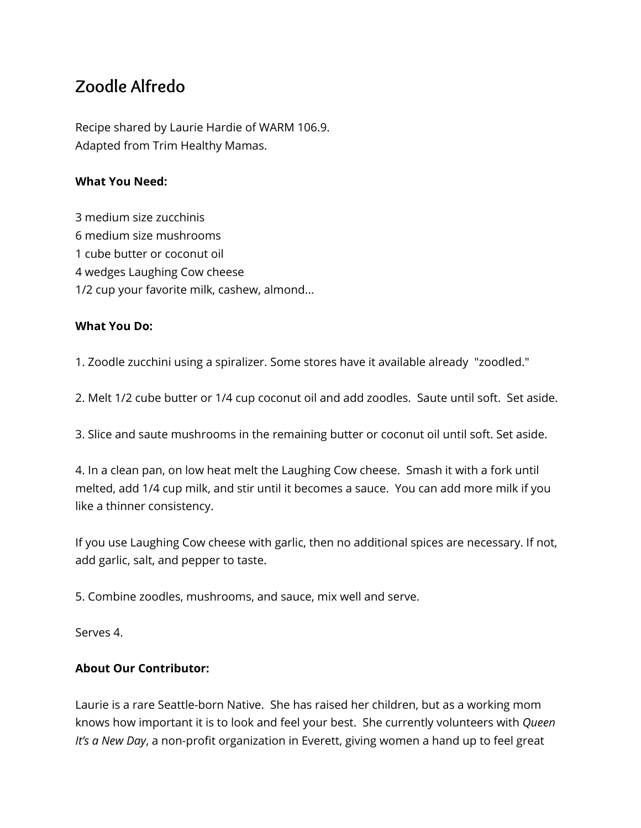## **Zoodle Alfredo**

Recipe shared by Laurie Hardie of WARM 106.9. Adapted from Trim Healthy Mamas.

## **What You Need:**

- 3 medium size zucchinis
- 6 medium size mushrooms
- 1 cube butter or coconut oil
- 4 wedges Laughing Cow cheese
- 1/2 cup your favorite milk, cashew, almond...

## **What You Do:**

1. Zoodle zucchini using a spiralizer. Some stores have it available already "zoodled."

2. Melt 1/2 cube butter or 1/4 cup coconut oil and add zoodles. Saute until soft. Set aside.

3. Slice and saute mushrooms in the remaining butter or coconut oil until soft. Set aside.

4. In a clean pan, on low heat melt the Laughing Cow cheese. Smash it with a fork until melted, add 1/4 cup milk, and stir until it becomes a sauce. You can add more milk if you like a thinner consistency.

If you use Laughing Cow cheese with garlic, then no additional spices are necessary. If not, add garlic, salt, and pepper to taste.

5. Combine zoodles, mushrooms, and sauce, mix well and serve.

Serves 4.

## **About Our Contributor:**

Laurie is a rare Seattle-born Native. She has raised her children, but as a working mom knows how important it is to look and feel your best. She currently volunteers with *Queen It's a New Day*, a non-profit organization in Everett, giving women a hand up to feel great